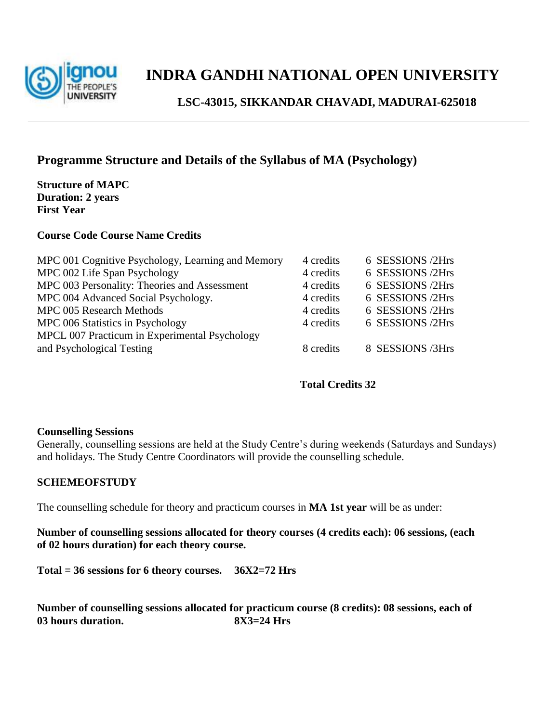

### **INDRA GANDHI NATIONAL OPEN UNIVERSITY**

 **LSC-43015, SIKKANDAR CHAVADI, MADURAI-625018**

### **Programme Structure and Details of the Syllabus of MA (Psychology)**

**Structure of MAPC Duration: 2 years First Year**

#### **Course Code Course Name Credits**

| MPC 001 Cognitive Psychology, Learning and Memory | 4 credits | 6 SESSIONS /2Hrs |
|---------------------------------------------------|-----------|------------------|
| MPC 002 Life Span Psychology                      | 4 credits | 6 SESSIONS /2Hrs |
| MPC 003 Personality: Theories and Assessment      | 4 credits | 6 SESSIONS /2Hrs |
| MPC 004 Advanced Social Psychology.               | 4 credits | 6 SESSIONS /2Hrs |
| MPC 005 Research Methods                          | 4 credits | 6 SESSIONS /2Hrs |
| MPC 006 Statistics in Psychology                  | 4 credits | 6 SESSIONS /2Hrs |
| MPCL 007 Practicum in Experimental Psychology     |           |                  |
| and Psychological Testing                         | 8 credits | 8 SESSIONS /3Hrs |
|                                                   |           |                  |

#### **Total Credits 32**

#### **Counselling Sessions**

Generally, counselling sessions are held at the Study Centre's during weekends (Saturdays and Sundays) and holidays. The Study Centre Coordinators will provide the counselling schedule.

#### **SCHEMEOFSTUDY**

The counselling schedule for theory and practicum courses in **MA 1st year** will be as under:

**Number of counselling sessions allocated for theory courses (4 credits each): 06 sessions, (each of 02 hours duration) for each theory course.**

**Total = 36 sessions for 6 theory courses. 36X2=72 Hrs** 

**Number of counselling sessions allocated for practicum course (8 credits): 08 sessions, each of 03 hours duration. 8X3=24 Hrs**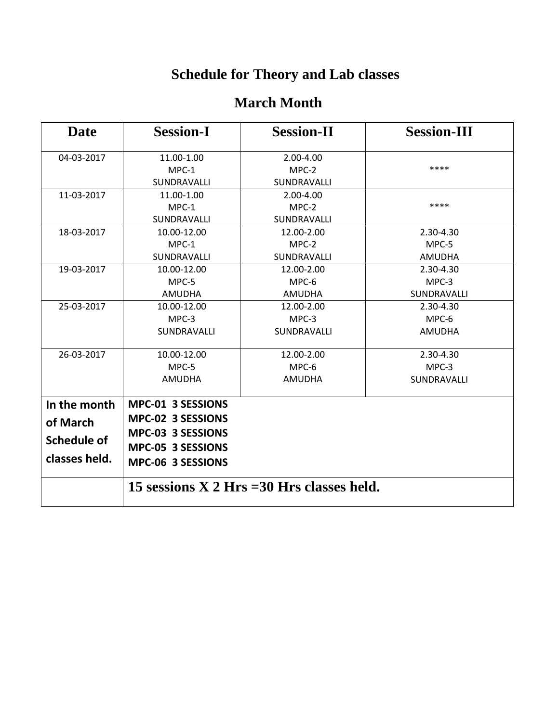# **Schedule for Theory and Lab classes**

### **March Month**

| Date                                                     | <b>Session-I</b>                                                                                      | <b>Session-II</b>                  | <b>Session-III</b>                |  |
|----------------------------------------------------------|-------------------------------------------------------------------------------------------------------|------------------------------------|-----------------------------------|--|
| 04-03-2017                                               | 11.00-1.00<br>$MPC-1$<br>SUNDRAVALLI                                                                  | 2.00-4.00<br>MPC-2<br>SUNDRAVALLI  | ****                              |  |
| 11-03-2017                                               | 11.00-1.00<br>$MPC-1$<br>SUNDRAVALLI                                                                  | 2.00-4.00<br>MPC-2<br>SUNDRAVALLI  | ****                              |  |
| 18-03-2017                                               | 10.00-12.00<br>MPC-1<br>SUNDRAVALLI                                                                   | 12.00-2.00<br>MPC-2<br>SUNDRAVALLI | 2.30-4.30<br>MPC-5<br>AMUDHA      |  |
| 19-03-2017                                               | 10.00-12.00<br>MPC-5<br>AMUDHA                                                                        | 12.00-2.00<br>MPC-6<br>AMUDHA      | 2.30-4.30<br>MPC-3<br>SUNDRAVALLI |  |
| 25-03-2017                                               | 10.00-12.00<br>MPC-3<br>SUNDRAVALLI                                                                   | 12.00-2.00<br>MPC-3<br>SUNDRAVALLI | 2.30-4.30<br>MPC-6<br>AMUDHA      |  |
| 26-03-2017                                               | 10.00-12.00<br>MPC-5<br>AMUDHA                                                                        | 12.00-2.00<br>MPC-6<br>AMUDHA      | 2.30-4.30<br>MPC-3<br>SUNDRAVALLI |  |
| In the month<br>of March<br>Schedule of<br>classes held. | MPC-01 3 SESSIONS<br>MPC-02 3 SESSIONS<br>MPC-03 3 SESSIONS<br>MPC-05 3 SESSIONS<br>MPC-06 3 SESSIONS |                                    |                                   |  |
|                                                          | 15 sessions $X$ 2 Hrs = 30 Hrs classes held.                                                          |                                    |                                   |  |